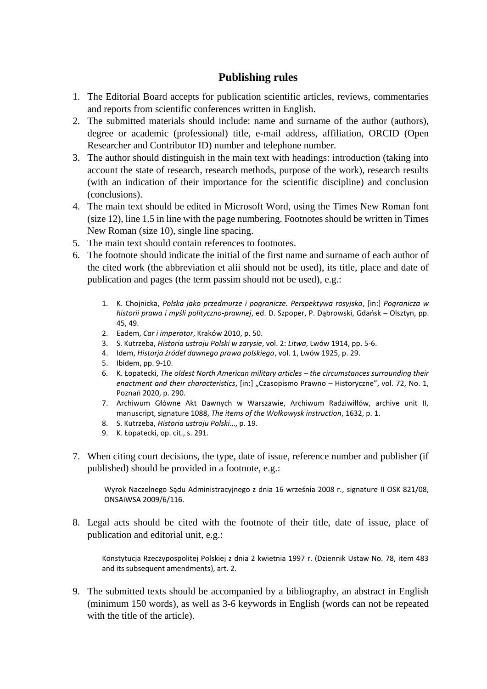## **Publishing rules**

- 1. The Editorial Board accepts for publication scientific articles, reviews, commentaries and reports from scientific conferences written in English.
- 2. The submitted materials should include: name and surname of the author (authors), degree or academic (professional) title, e-mail address, affiliation, ORCID (Open Researcher and Contributor ID) number and telephone number.
- 3. The author should distinguish in the main text with headings: introduction (taking into account the state of research, research methods, purpose of the work), research results (with an indication of their importance for the scientific discipline) and conclusion (conclusions).
- 4. The main text should be edited in Microsoft Word, using the Times New Roman font (size 12), line 1.5 in line with the page numbering. Footnotes should be written in Times New Roman (size 10), single line spacing.
- 5. The main text should contain references to footnotes.
- 6. The footnote should indicate the initial of the first name and surname of each author of the cited work (the abbreviation et alii should not be used), its title, place and date of publication and pages (the term passim should not be used), e.g.:
	- 1. K. Chojnicka, *Polska jako przedmurze i pogranicze. Perspektywa rosyjska*, [in:] *Pogranicza w historii prawa i myśli polityczno-prawnej*, ed. D. Szpoper, P. Dąbrowski, Gdańsk – Olsztyn, pp. 45, 49.
	- 2. Eadem, *Car i imperator*, Kraków 2010, p. 50.
	- 3. S. Kutrzeba, *Historia ustroju Polski w zarysie*, vol. 2: *Litwa*, Lwów 1914, pp. 5-6.
	- 4. Idem, *Historja źródeł dawnego prawa polskiego*, vol. 1, Lwów 1925, p. 29.
	- 5. Ibidem, pp. 9-10.
	- 6. K. Łopatecki, *The oldest North American military articles – the circumstances surrounding their enactment and their characteristics*, [in:] "Czasopismo Prawno *–* Historyczne", vol. 72, No. 1, Poznań 2020, p. 290.
	- 7. Archiwum Główne Akt Dawnych w Warszawie, Archiwum Radziwiłłów, archive unit II, manuscript, signature 1088, *The items of the Wołkowysk instruction*, 1632, p. 1.
	- 8. S. Kutrzeba, *Historia ustroju Polski*…, p. 19.
	- 9. K. Łopatecki, op. cit., s. 291.
- 7. When citing court decisions, the type, date of issue, reference number and publisher (if published) should be provided in a footnote, e.g.:

Wyrok Naczelnego Sądu Administracyjnego z dnia 16 września 2008 r., signature II OSK 821/08, ONSAiWSA 2009/6/116.

8. Legal acts should be cited with the footnote of their title, date of issue, place of publication and editorial unit, e.g.:

Konstytucja Rzeczypospolitej Polskiej z dnia 2 kwietnia 1997 r. (Dziennik Ustaw No. 78, item 483 and its subsequent amendments), art. 2.

9. The submitted texts should be accompanied by a bibliography, an abstract in English (minimum 150 words), as well as 3-6 keywords in English (words can not be repeated with the title of the article).